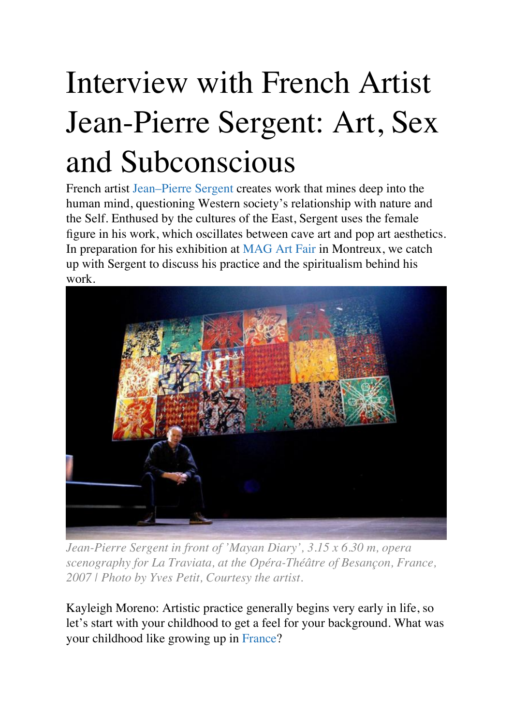## Interview with French Artist Jean-Pierre Sergent: Art, Sex and Subconscious

French artist [Jean–Pierre Sergent](http://www.j-psergent.com/) creates work that mines deep into the human mind, questioning Western society's relationship with nature and the Self. Enthused by the cultures of the East, Sergent uses the female figure in his work, which oscillates between cave art and pop art aesthetics. In preparation for his exhibition at [MAG Art Fair](http://www.mag-swiss.com/index.php?rubrique=home) in Montreux, we catch up with Sergent to discuss his practice and the spiritualism behind his work.



*Jean-Pierre Sergent in front of 'Mayan Diary', 3.15 x 6.30 m, opera scenography for La Traviata, at the Opéra-Théâtre of Besançon, France, 2007 | Photo by Yves Petit, Courtesy the artist.*

Kayleigh Moreno: Artistic practice generally begins very early in life, so let's start with your childhood to get a feel for your background. What was your childhood like growing up in [France](http://theculturetrip.com/europe/france/)?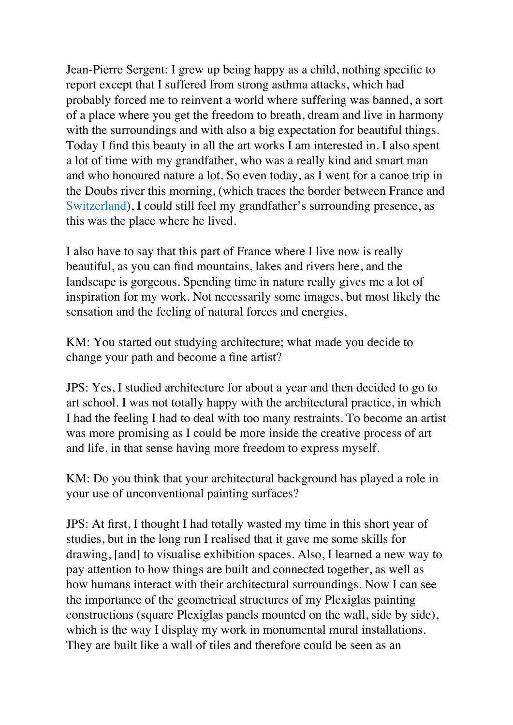Jean-Pierre Sergent: I grew up being happy as a child, nothing specific to report except that I suffered from strong asthma attacks, which had probably forced me to reinvent a world where suffering was banned, a sort of a place where you get the freedom to breath, dream and live in harmony with the surroundings and with also a big expectation for beautiful things. Today I find this beauty in all the art works I am interested in. I also spent a lot of time with my grandfather, who was a really kind and smart man and who honoured nature a lot. So even today, as I went for a canoe trip in the Doubs river this morning, (which traces the border between France and [Switzerland\)](http://theculturetrip.com/europe/switzerland/), I could still feel my grandfather's surrounding presence, as this was the place where he lived.

I also have to say that this part of France where I live now is really beautiful, as you can find mountains, lakes and rivers here, and the landscape is gorgeous. Spending time in nature really gives me a lot of inspiration for my work. Not necessarily some images, but most likely the sensation and the feeling of natural forces and energies.

KM: You started out studying architecture; what made you decide to change your path and become a fine artist?

JPS: Yes, I studied architecture for about a year and then decided to go to art school. I was not totally happy with the architectural practice, in which I had the feeling I had to deal with too many restraints. To become an artist was more promising as I could be more inside the creative process of art and life, in that sense having more freedom to express myself.

KM: Do you think that your architectural background has played a role in your use of unconventional painting surfaces?

JPS: At first, I thought I had totally wasted my time in this short year of studies, but in the long run I realised that it gave me some skills for drawing, [and] to visualise exhibition spaces. Also, I learned a new way to pay attention to how things are built and connected together, as well as how humans interact with their architectural surroundings. Now I can see the importance of the geometrical structures of my Plexiglas painting constructions (square Plexiglas panels mounted on the wall, side by side), which is the way I display my work in monumental mural installations. They are built like a wall of tiles and therefore could be seen as an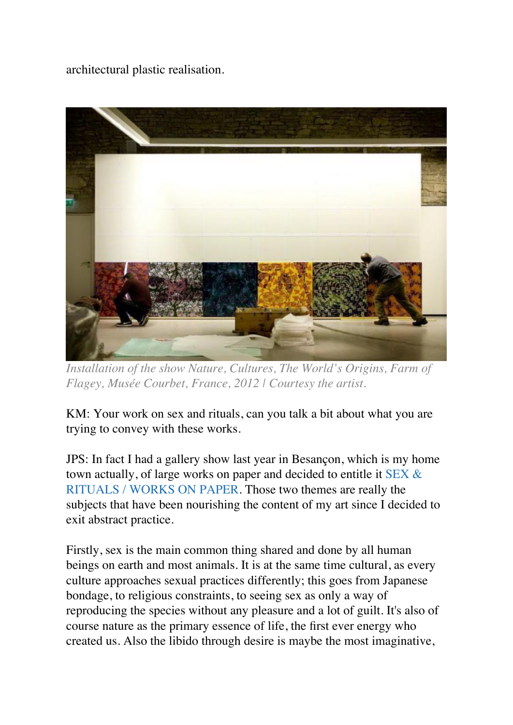architectural plastic realisation.



*Installation of the show Nature, Cultures, The World's Origins, Farm of Flagey, Musée Courbet, France, 2012 | Courtesy the artist.*

KM: Your work on sex and rituals, can you talk a bit about what you are trying to convey with these works.

JPS: In fact I had a gallery show last year in Besançon, which is my home town actually, of large works on paper and decided to entitle it [SEX &](http://www.j-psergent.com/calendar/65/17-SEX-RITUALS-WORKS-ON-PAPER)  [RITUALS / WORKS ON PAPER](http://www.j-psergent.com/calendar/65/17-SEX-RITUALS-WORKS-ON-PAPER). Those two themes are really the subjects that have been nourishing the content of my art since I decided to exit abstract practice.

Firstly, sex is the main common thing shared and done by all human beings on earth and most animals. It is at the same time cultural, as every culture approaches sexual practices differently; this goes from Japanese bondage, to religious constraints, to seeing sex as only a way of reproducing the species without any pleasure and a lot of guilt. It's also of course nature as the primary essence of life, the first ever energy who created us. Also the libido through desire is maybe the most imaginative,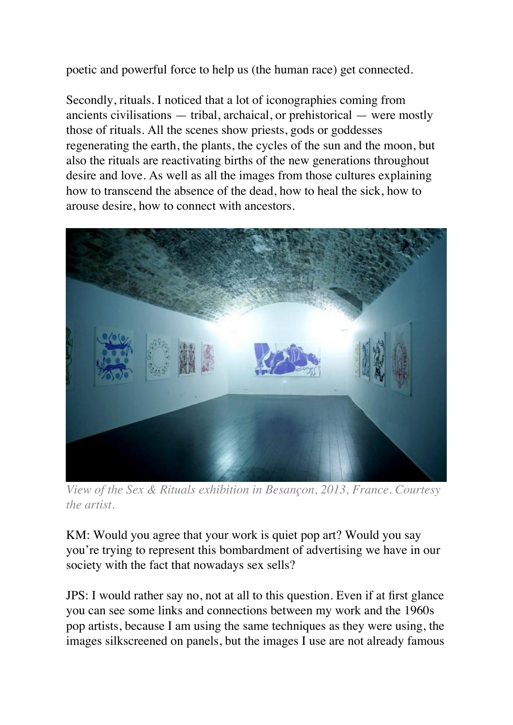poetic and powerful force to help us (the human race) get connected.

Secondly, rituals. I noticed that a lot of iconographies coming from ancients civilisations — tribal, archaical, or prehistorical — were mostly those of rituals. All the scenes show priests, gods or goddesses regenerating the earth, the plants, the cycles of the sun and the moon, but also the rituals are reactivating births of the new generations throughout desire and love. As well as all the images from those cultures explaining how to transcend the absence of the dead, how to heal the sick, how to arouse desire, how to connect with ancestors.



*View of the Sex & Rituals exhibition in Besançon, 2013, France. Courtesy the artist.*

KM: Would you agree that your work is quiet pop art? Would you say you're trying to represent this bombardment of advertising we have in our society with the fact that nowadays sex sells?

JPS: I would rather say no, not at all to this question. Even if at first glance you can see some links and connections between my work and the 1960s pop artists, because I am using the same techniques as they were using, the images silkscreened on panels, but the images I use are not already famous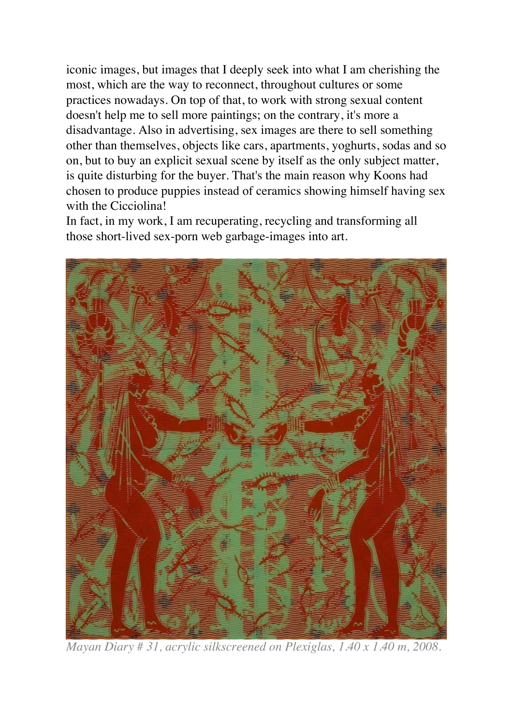iconic images, but images that I deeply seek into what I am cherishing the most, which are the way to reconnect, throughout cultures or some practices nowadays. On top of that, to work with strong sexual content doesn't help me to sell more paintings; on the contrary, it's more a disadvantage. Also in advertising, sex images are there to sell something other than themselves, objects like cars, apartments, yoghurts, sodas and so on, but to buy an explicit sexual scene by itself as the only subject matter, is quite disturbing for the buyer. That's the main reason why Koons had chosen to produce puppies instead of ceramics showing himself having sex with the Cicciolina!

In fact, in my work, I am recuperating, recycling and transforming all those short-lived sex-porn web garbage-images into art.



*Mayan Diary # 31, acrylic silkscreened on Plexiglas, 1.40 x 1.40 m, 2008.*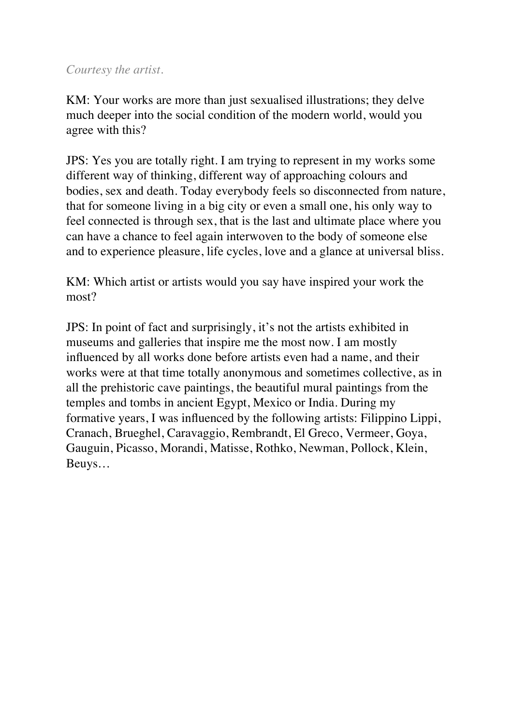## *Courtesy the artist.*

KM: Your works are more than just sexualised illustrations; they delve much deeper into the social condition of the modern world, would you agree with this?

JPS: Yes you are totally right. I am trying to represent in my works some different way of thinking, different way of approaching colours and bodies, sex and death. Today everybody feels so disconnected from nature, that for someone living in a big city or even a small one, his only way to feel connected is through sex, that is the last and ultimate place where you can have a chance to feel again interwoven to the body of someone else and to experience pleasure, life cycles, love and a glance at universal bliss.

KM: Which artist or artists would you say have inspired your work the most?

JPS: In point of fact and surprisingly, it's not the artists exhibited in museums and galleries that inspire me the most now. I am mostly influenced by all works done before artists even had a name, and their works were at that time totally anonymous and sometimes collective, as in all the prehistoric cave paintings, the beautiful mural paintings from the temples and tombs in ancient Egypt, Mexico or India. During my formative years, I was influenced by the following artists: Filippino Lippi, Cranach, Brueghel, Caravaggio, Rembrandt, El Greco, Vermeer, Goya, Gauguin, Picasso, Morandi, Matisse, Rothko, Newman, Pollock, Klein, Beuys…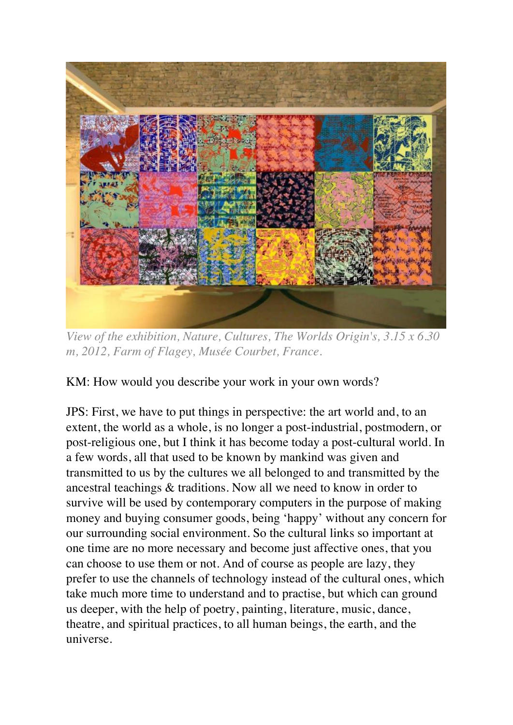

*View of the exhibition, Nature, Cultures, The Worlds Origin's, 3.15 x 6.30 m, 2012, Farm of Flagey, Musée Courbet, France.*

KM: How would you describe your work in your own words?

JPS: First, we have to put things in perspective: the art world and, to an extent, the world as a whole, is no longer a post-industrial, postmodern, or post-religious one, but I think it has become today a post-cultural world. In a few words, all that used to be known by mankind was given and transmitted to us by the cultures we all belonged to and transmitted by the ancestral teachings & traditions. Now all we need to know in order to survive will be used by contemporary computers in the purpose of making money and buying consumer goods, being 'happy' without any concern for our surrounding social environment. So the cultural links so important at one time are no more necessary and become just affective ones, that you can choose to use them or not. And of course as people are lazy, they prefer to use the channels of technology instead of the cultural ones, which take much more time to understand and to practise, but which can ground us deeper, with the help of poetry, painting, literature, music, dance, theatre, and spiritual practices, to all human beings, the earth, and the universe.